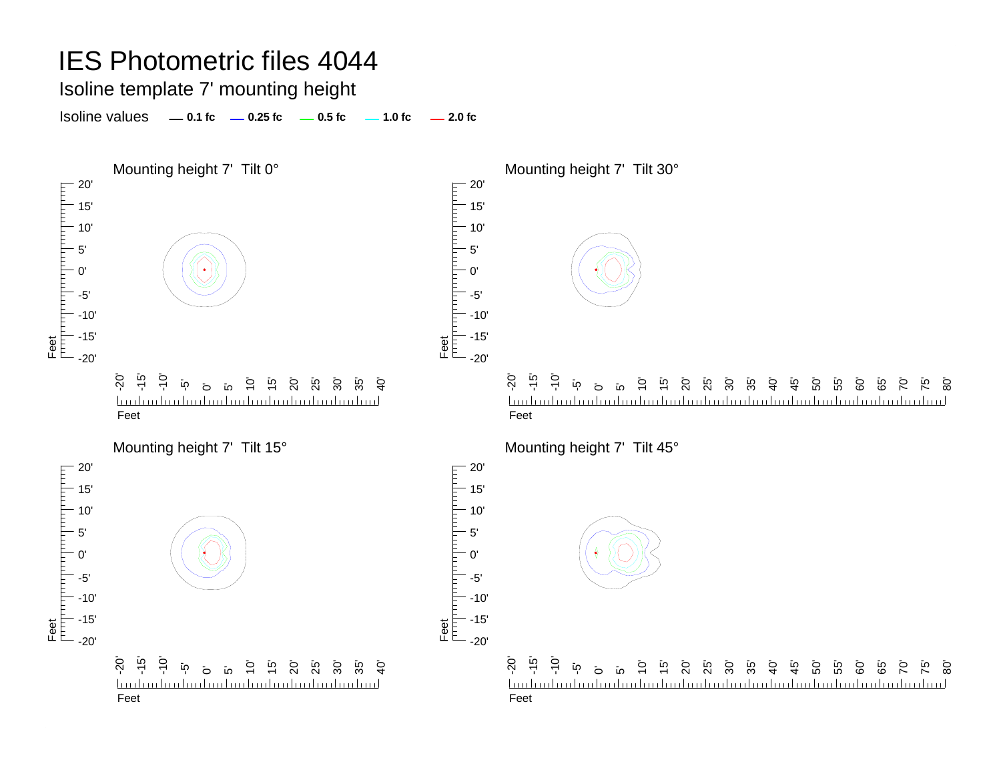Isoline template 7' mounting height

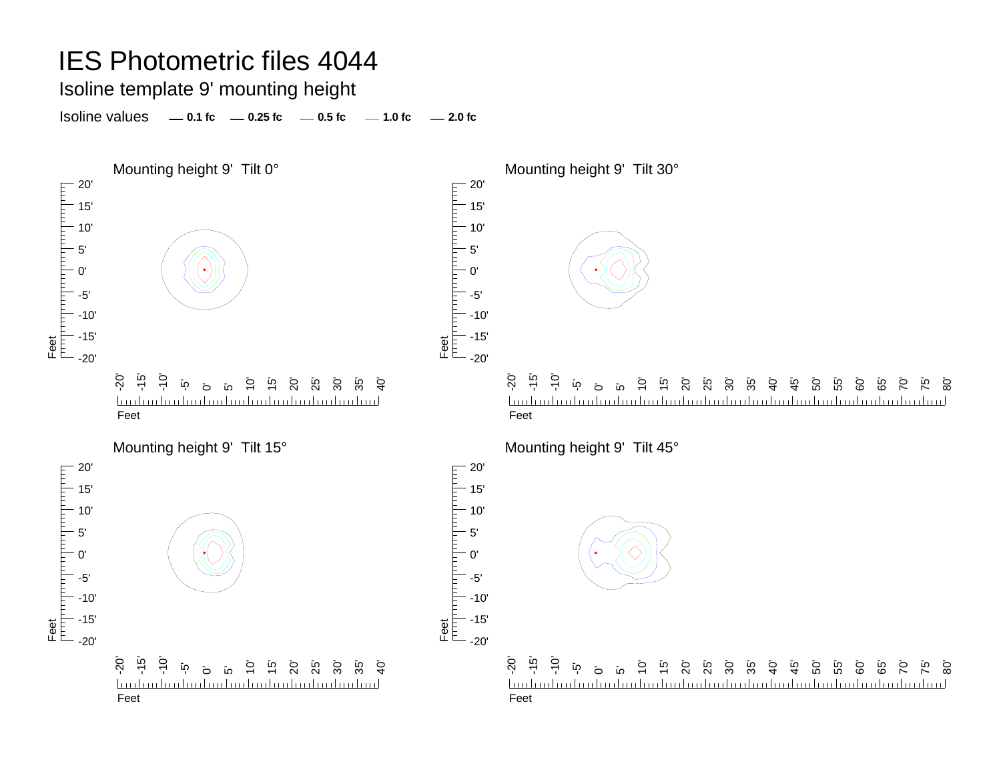Isoline template 9' mounting height

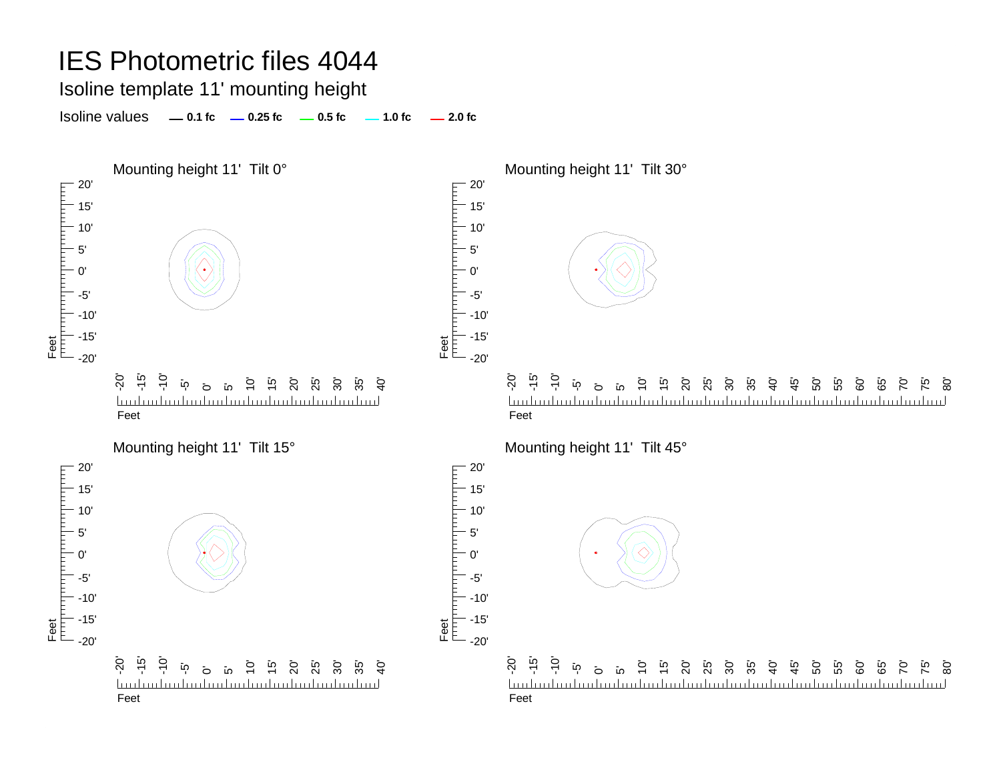Isoline template 11' mounting height

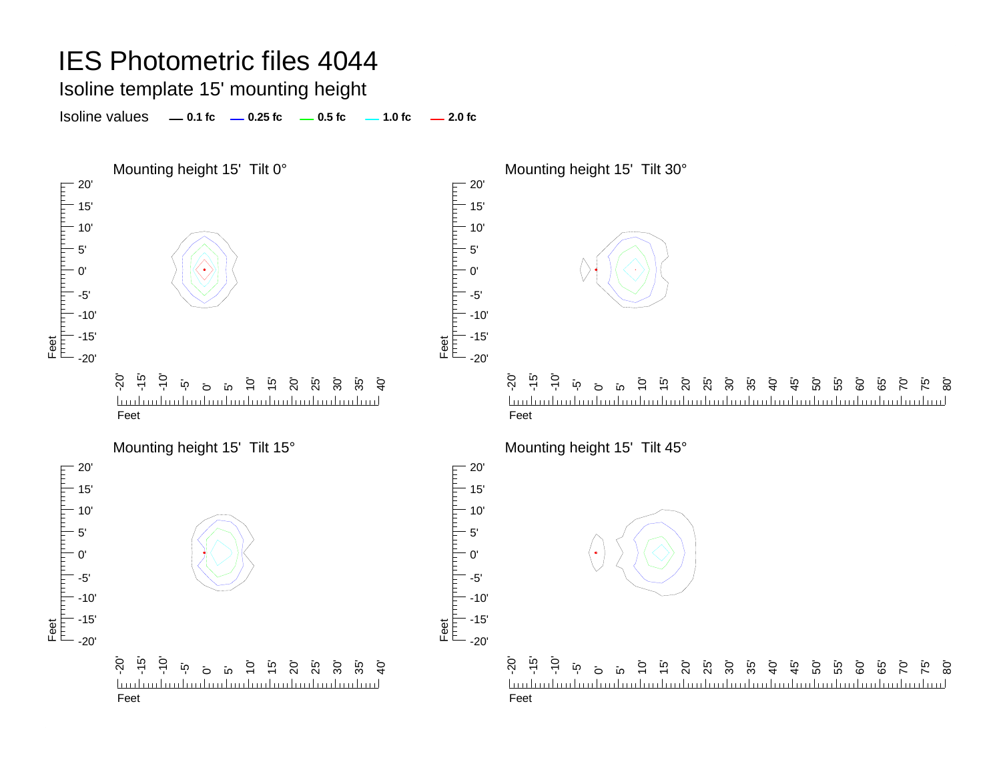Isoline template 15' mounting height

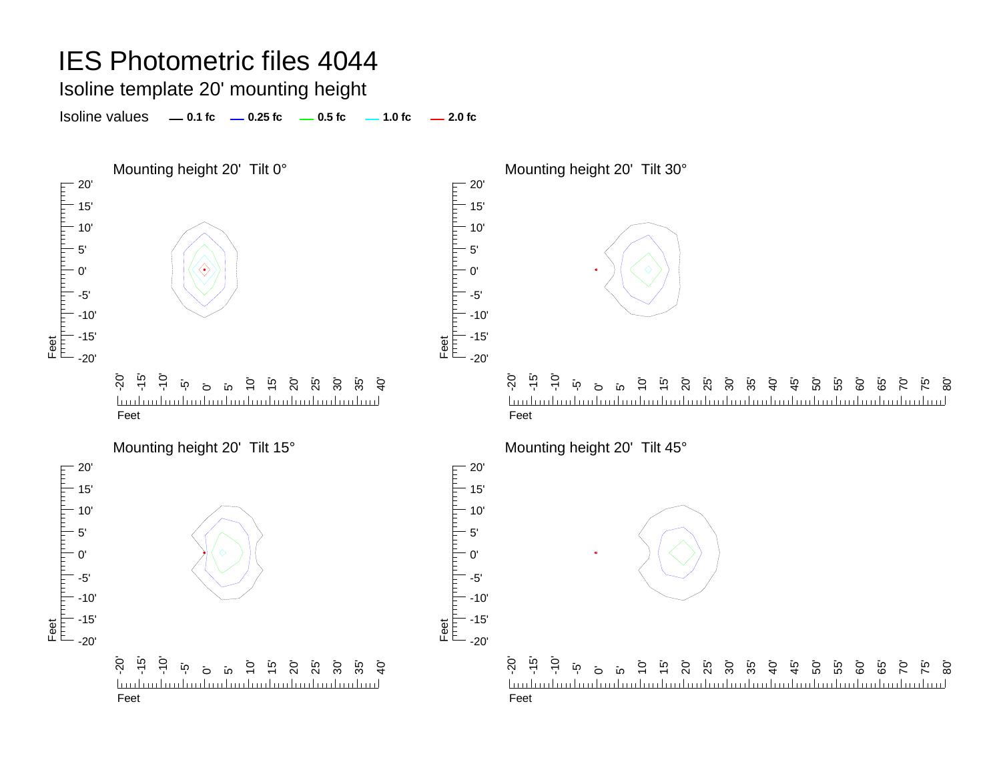Isoline template 20' mounting height

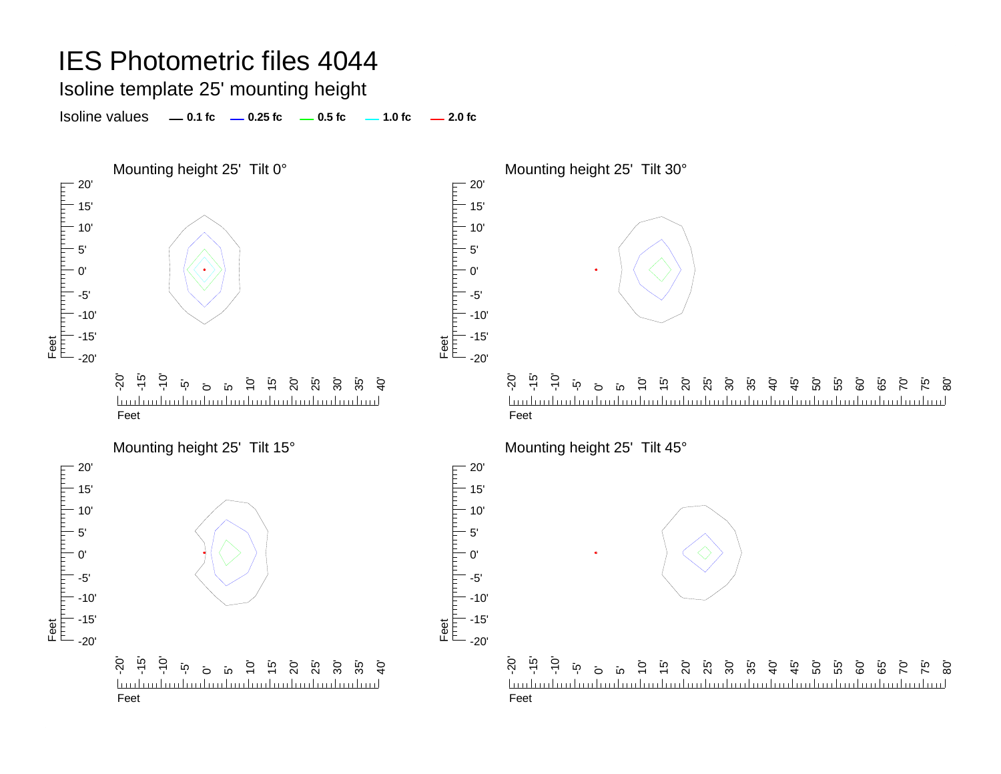Isoline template 25' mounting height